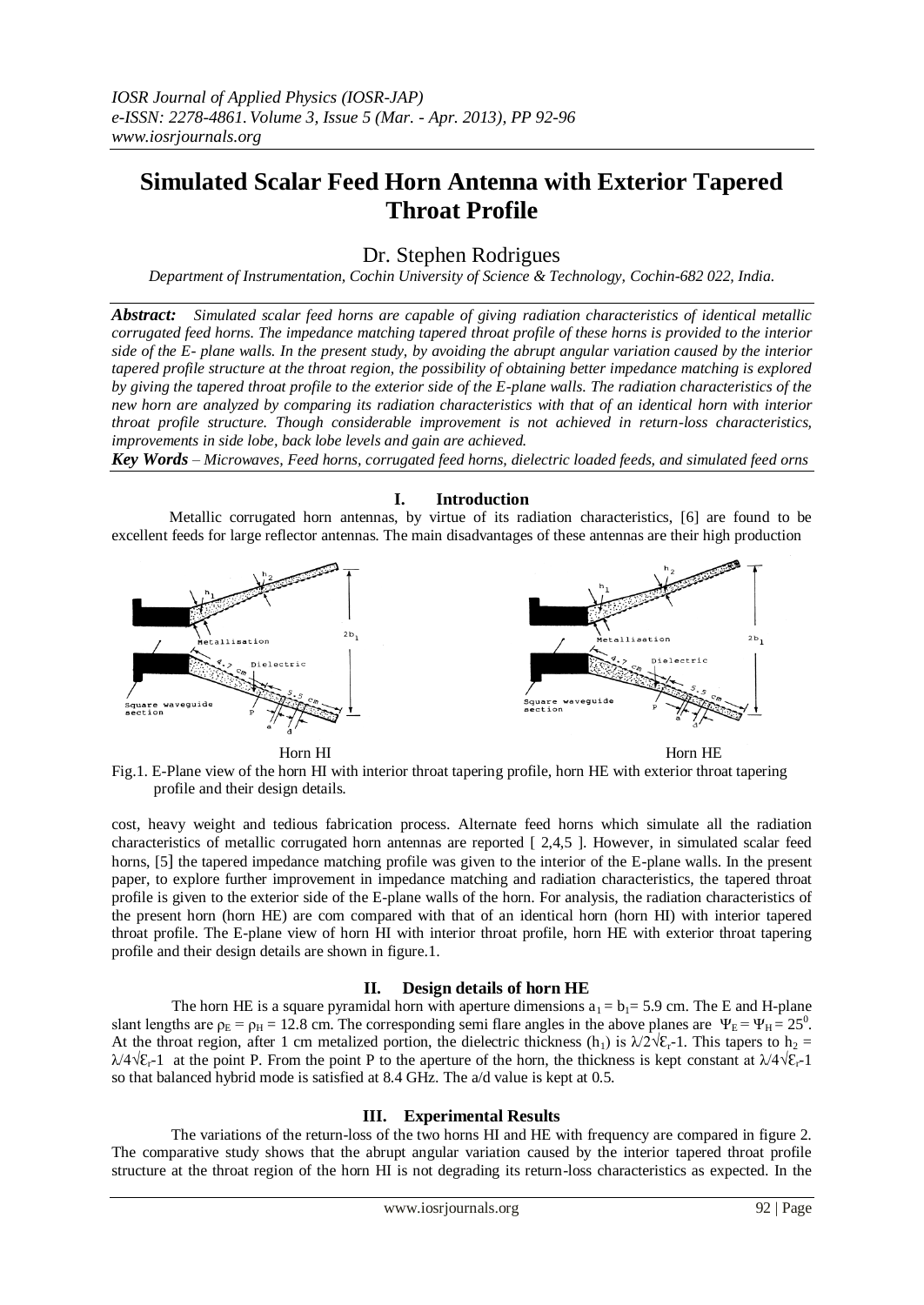# **Simulated Scalar Feed Horn Antenna with Exterior Tapered Throat Profile**

# Dr. Stephen Rodrigues

*Department of Instrumentation, Cochin University of Science & Technology, Cochin-682 022, India.*

*Abstract: Simulated scalar feed horns are capable of giving radiation characteristics of identical metallic corrugated feed horns. The impedance matching tapered throat profile of these horns is provided to the interior side of the E- plane walls. In the present study, by avoiding the abrupt angular variation caused by the interior tapered profile structure at the throat region, the possibility of obtaining better impedance matching is explored by giving the tapered throat profile to the exterior side of the E-plane walls. The radiation characteristics of the new horn are analyzed by comparing its radiation characteristics with that of an identical horn with interior throat profile structure. Though considerable improvement is not achieved in return-loss characteristics, improvements in side lobe, back lobe levels and gain are achieved.*

*Key Words – Microwaves, Feed horns, corrugated feed horns, dielectric loaded feeds, and simulated feed orns*

### **I. Introduction**

 Metallic corrugated horn antennas, by virtue of its radiation characteristics, [6] are found to be excellent feeds for large reflector antennas. The main disadvantages of these antennas are their high production



Horn HI Horn HE

Fig.1. E-Plane view of the horn HI with interior throat tapering profile, horn HE with exterior throat tapering profile and their design details.

cost, heavy weight and tedious fabrication process. Alternate feed horns which simulate all the radiation characteristics of metallic corrugated horn antennas are reported [ 2,4,5 ]. However, in simulated scalar feed horns, [5] the tapered impedance matching profile was given to the interior of the E-plane walls. In the present paper, to explore further improvement in impedance matching and radiation characteristics, the tapered throat profile is given to the exterior side of the E-plane walls of the horn. For analysis, the radiation characteristics of the present horn (horn HE) are com compared with that of an identical horn (horn HI) with interior tapered throat profile. The E-plane view of horn HI with interior throat profile, horn HE with exterior throat tapering profile and their design details are shown in figure.1.

## **II. Design details of horn HE**

The horn HE is a square pyramidal horn with aperture dimensions  $a_1 = b_1 = 5.9$  cm. The E and H-plane slant lengths are  $\rho_E = \rho_H = 12.8$  cm. The corresponding semi flare angles in the above planes are  $\Psi_E = \Psi_H = 25^\circ$ . At the throat region, after 1 cm metalized portion, the dielectric thickness (h<sub>1</sub>) is  $\lambda/2\sqrt{\epsilon_r}$ -1. This tapers to h<sub>2</sub> =  $\lambda/4\sqrt{\epsilon_r}$ -1 at the point P. From the point P to the aperture of the horn, the thickness is kept constant at  $\lambda/4\sqrt{\epsilon_r}$ -1 so that balanced hybrid mode is satisfied at 8.4 GHz. The a/d value is kept at 0.5.

### **III. Experimental Results**

 The variations of the return-loss of the two horns HI and HE with frequency are compared in figure 2. The comparative study shows that the abrupt angular variation caused by the interior tapered throat profile structure at the throat region of the horn HI is not degrading its return-loss characteristics as expected. In the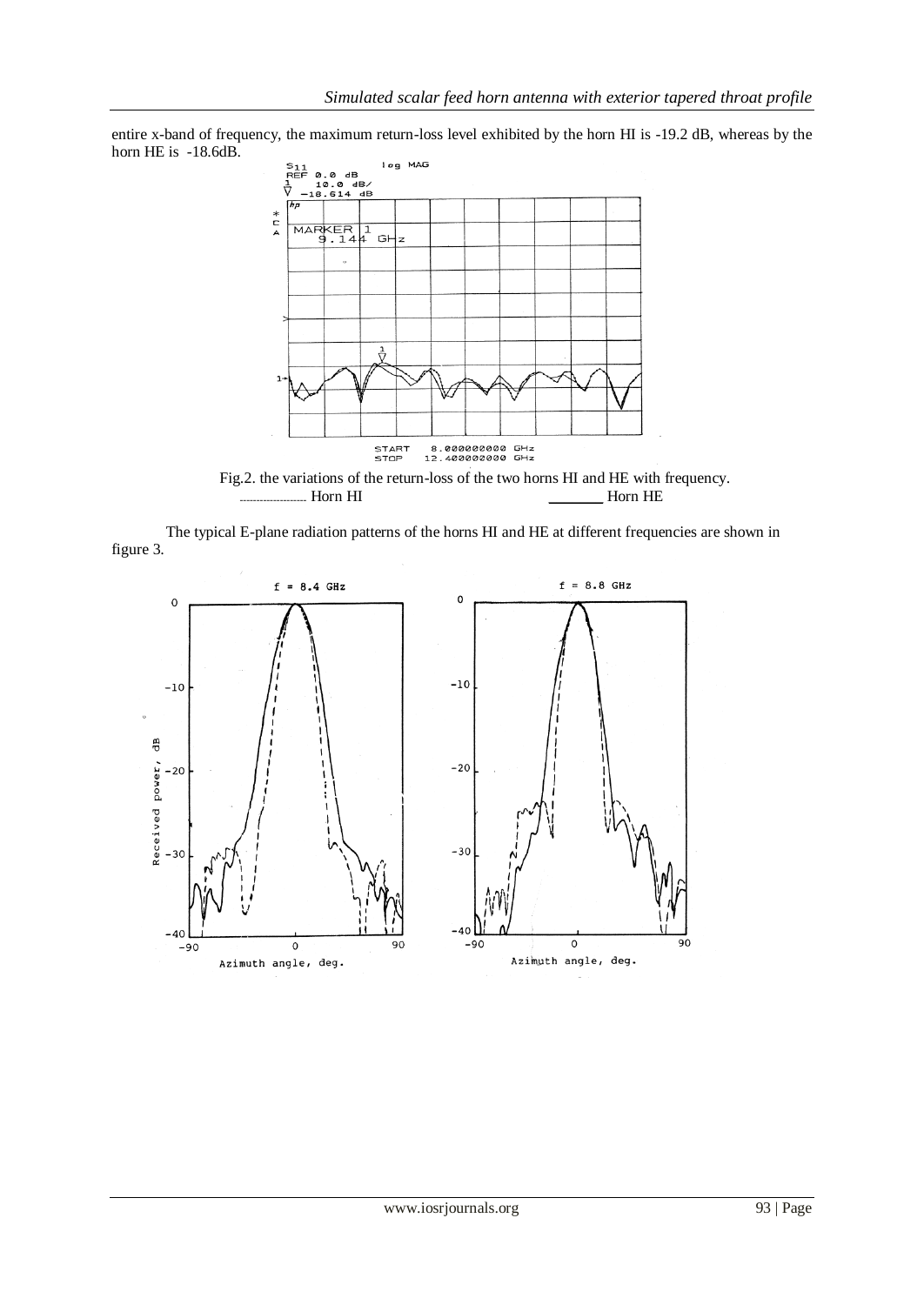entire x-band of frequency, the maximum return-loss level exhibited by the horn HI is -19.2 dB, whereas by the horn HE is -18.6dB.



 Fig.2. the variations of the return-loss of the two horns HI and HE with frequency. -------------------- Horn HI \_\_\_\_\_\_\_ Horn HE

 The typical E-plane radiation patterns of the horns HI and HE at different frequencies are shown in figure 3.

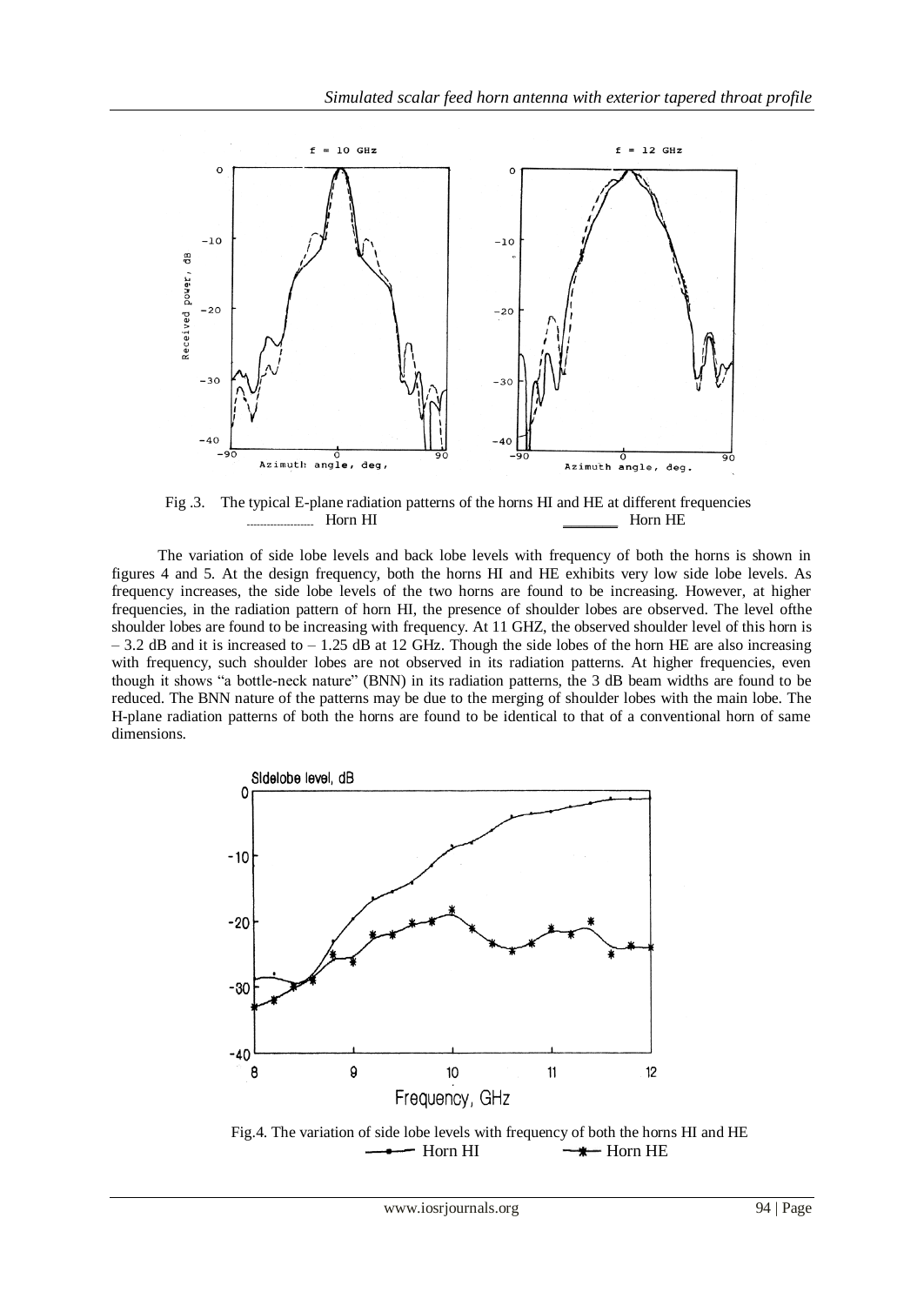

 Fig .3. The typical E-plane radiation patterns of the horns HI and HE at different frequencies -------------------- Horn HI \_\_\_\_\_\_\_ Horn HE

 The variation of side lobe levels and back lobe levels with frequency of both the horns is shown in figures 4 and 5. At the design frequency, both the horns HI and HE exhibits very low side lobe levels. As frequency increases, the side lobe levels of the two horns are found to be increasing. However, at higher frequencies, in the radiation pattern of horn HI, the presence of shoulder lobes are observed. The level ofthe shoulder lobes are found to be increasing with frequency. At 11 GHZ, the observed shoulder level of this horn is  $-3.2$  dB and it is increased to  $-1.25$  dB at 12 GHz. Though the side lobes of the horn HE are also increasing with frequency, such shoulder lobes are not observed in its radiation patterns. At higher frequencies, even though it shows "a bottle-neck nature" (BNN) in its radiation patterns, the 3 dB beam widths are found to be reduced. The BNN nature of the patterns may be due to the merging of shoulder lobes with the main lobe. The H-plane radiation patterns of both the horns are found to be identical to that of a conventional horn of same dimensions.



Fig.4. The variation of side lobe levels with frequency of both the horns HI and HE Horn HI  $\rightarrow$  Horn HE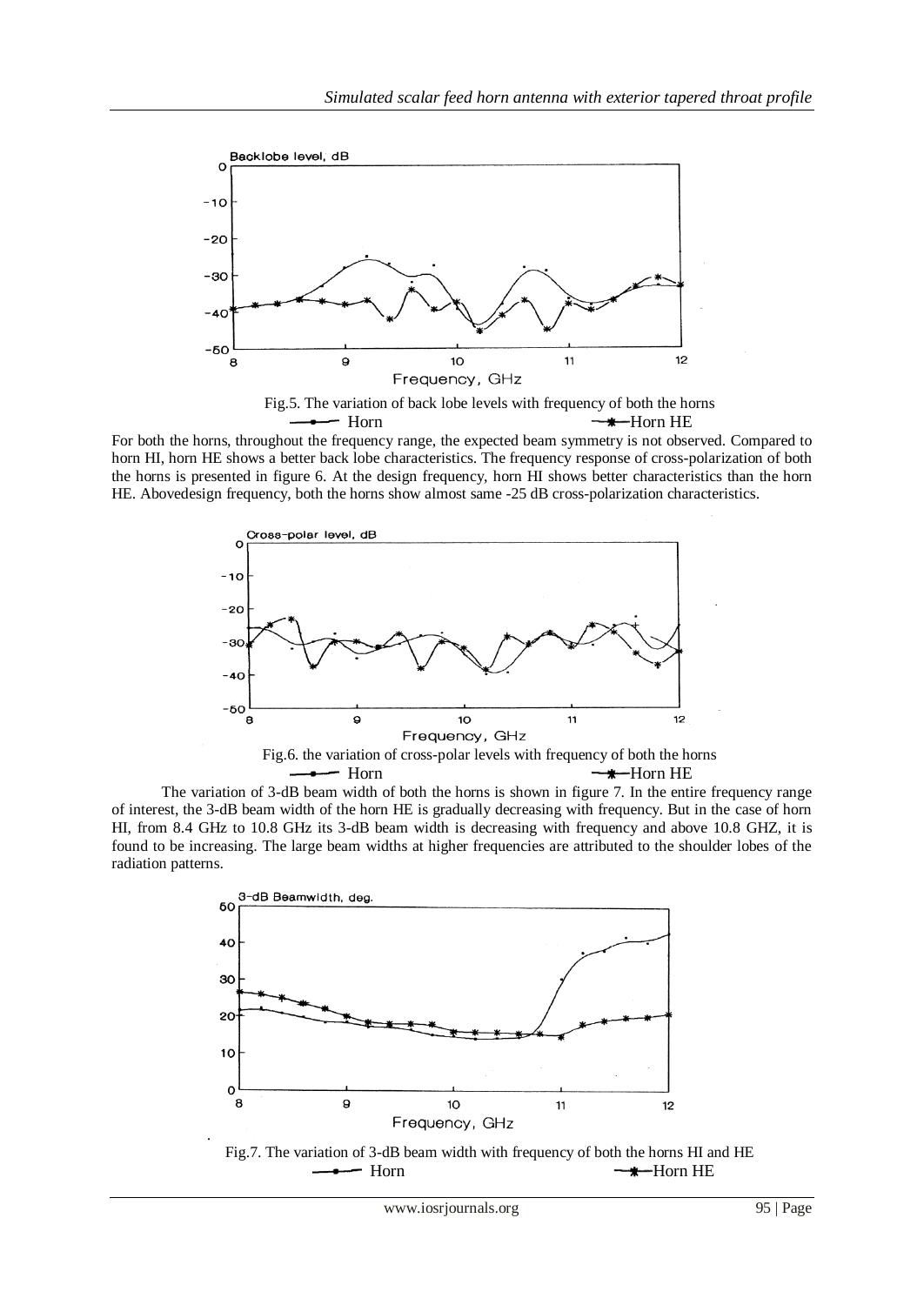

For both the horns, throughout the frequency range, the expected beam symmetry is not observed. Compared to horn HI, horn HE shows a better back lobe characteristics. The frequency response of cross-polarization of both the horns is presented in figure 6. At the design frequency, horn HI shows better characteristics than the horn HE. Abovedesign frequency, both the horns show almost same -25 dB cross-polarization characteristics.



 The variation of 3-dB beam width of both the horns is shown in figure 7. In the entire frequency range of interest, the 3-dB beam width of the horn HE is gradually decreasing with frequency. But in the case of horn HI, from 8.4 GHz to 10.8 GHz its 3-dB beam width is decreasing with frequency and above 10.8 GHZ, it is found to be increasing. The large beam widths at higher frequencies are attributed to the shoulder lobes of the radiation patterns.